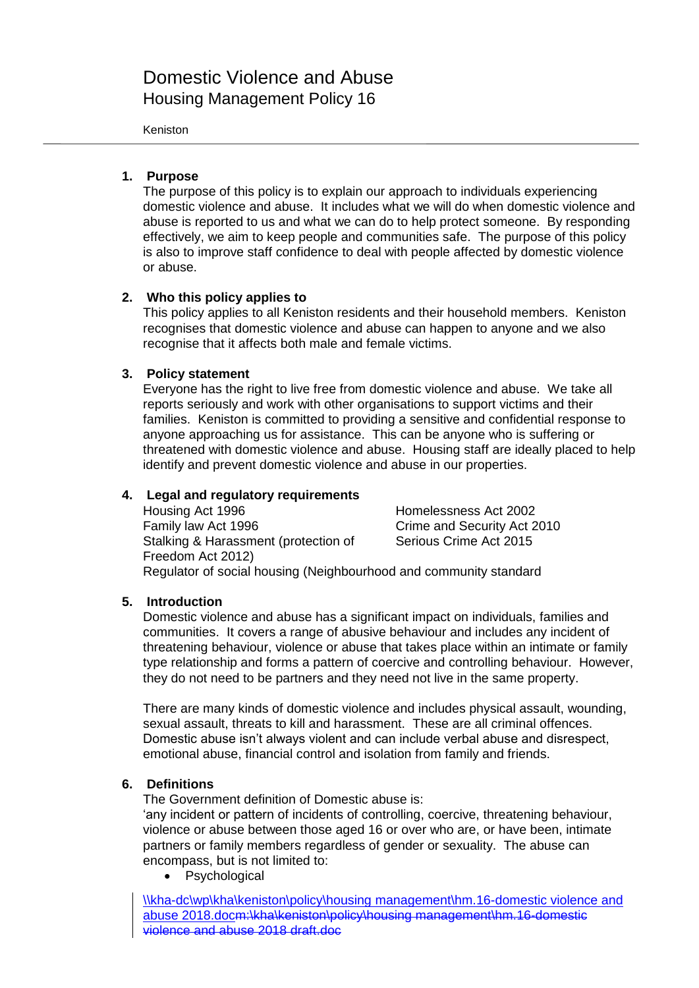# Domestic Violence and Abuse Housing Management Policy 16

#### Keniston

## **1. Purpose**

The purpose of this policy is to explain our approach to individuals experiencing domestic violence and abuse. It includes what we will do when domestic violence and abuse is reported to us and what we can do to help protect someone. By responding effectively, we aim to keep people and communities safe. The purpose of this policy is also to improve staff confidence to deal with people affected by domestic violence or abuse.

## **2. Who this policy applies to**

This policy applies to all Keniston residents and their household members. Keniston recognises that domestic violence and abuse can happen to anyone and we also recognise that it affects both male and female victims.

## **3. Policy statement**

Everyone has the right to live free from domestic violence and abuse. We take all reports seriously and work with other organisations to support victims and their families. Keniston is committed to providing a sensitive and confidential response to anyone approaching us for assistance. This can be anyone who is suffering or threatened with domestic violence and abuse. Housing staff are ideally placed to help identify and prevent domestic violence and abuse in our properties.

## **4. Legal and regulatory requirements**

Housing Act 1996 **Homelessness Act 2002** Family law Act 1996 Crime and Security Act 2010 Stalking & Harassment (protection of Freedom Act 2012) Serious Crime Act 2015 Regulator of social housing (Neighbourhood and community standard

## **5. Introduction**

Domestic violence and abuse has a significant impact on individuals, families and communities. It covers a range of abusive behaviour and includes any incident of threatening behaviour, violence or abuse that takes place within an intimate or family type relationship and forms a pattern of coercive and controlling behaviour. However, they do not need to be partners and they need not live in the same property.

There are many kinds of domestic violence and includes physical assault, wounding, sexual assault, threats to kill and harassment. These are all criminal offences. Domestic abuse isn't always violent and can include verbal abuse and disrespect, emotional abuse, financial control and isolation from family and friends.

## **6. Definitions**

The Government definition of Domestic abuse is:

'any incident or pattern of incidents of controlling, coercive, threatening behaviour, violence or abuse between those aged 16 or over who are, or have been, intimate partners or family members regardless of gender or sexuality. The abuse can encompass, but is not limited to:

• Psychological

\\kha-dc\wp\kha\keniston\policy\housing management\hm.16-domestic violence and abuse 2018.docm:\kha\keniston\policy\housing management\hm.16-domestic violence and abuse 2018 draft.doc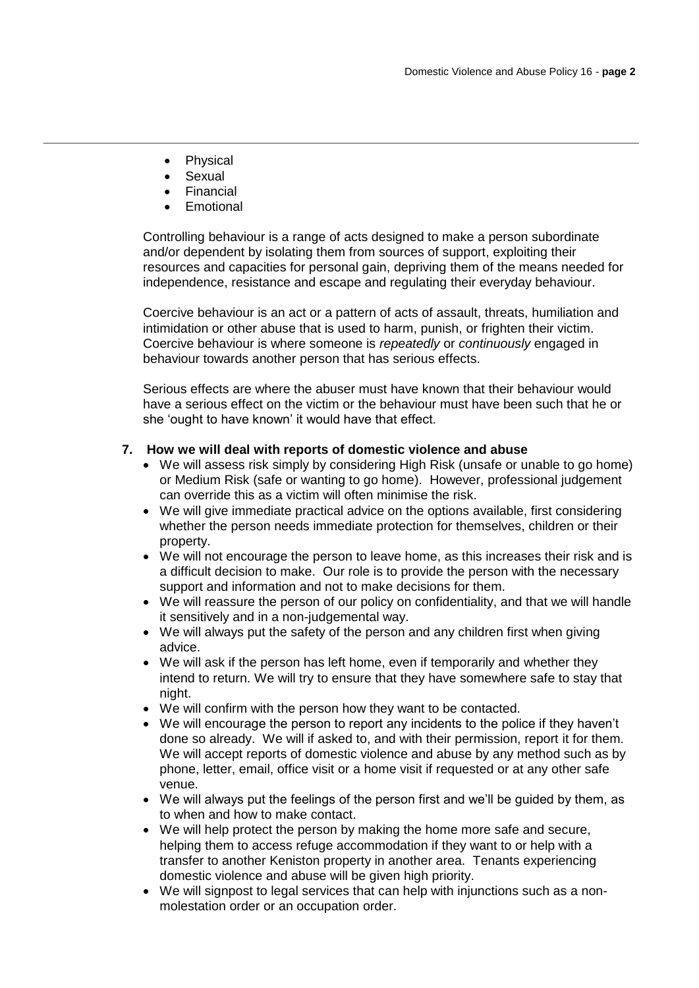- Physical
- Sexual
- Financial
- Emotional

Controlling behaviour is a range of acts designed to make a person subordinate and/or dependent by isolating them from sources of support, exploiting their resources and capacities for personal gain, depriving them of the means needed for independence, resistance and escape and regulating their everyday behaviour.

Coercive behaviour is an act or a pattern of acts of assault, threats, humiliation and intimidation or other abuse that is used to harm, punish, or frighten their victim. Coercive behaviour is where someone is *repeatedly* or *continuously* engaged in behaviour towards another person that has serious effects.

Serious effects are where the abuser must have known that their behaviour would have a serious effect on the victim or the behaviour must have been such that he or she 'ought to have known' it would have that effect.

## **7. How we will deal with reports of domestic violence and abuse**

- We will assess risk simply by considering High Risk (unsafe or unable to go home) or Medium Risk (safe or wanting to go home). However, professional judgement can override this as a victim will often minimise the risk.
- We will give immediate practical advice on the options available, first considering whether the person needs immediate protection for themselves, children or their property.
- We will not encourage the person to leave home, as this increases their risk and is a difficult decision to make. Our role is to provide the person with the necessary support and information and not to make decisions for them.
- We will reassure the person of our policy on confidentiality, and that we will handle it sensitively and in a non-judgemental way.
- We will always put the safety of the person and any children first when giving advice.
- We will ask if the person has left home, even if temporarily and whether they intend to return. We will try to ensure that they have somewhere safe to stay that night.
- We will confirm with the person how they want to be contacted.
- We will encourage the person to report any incidents to the police if they haven't done so already. We will if asked to, and with their permission, report it for them. We will accept reports of domestic violence and abuse by any method such as by phone, letter, email, office visit or a home visit if requested or at any other safe venue.
- We will always put the feelings of the person first and we'll be guided by them, as to when and how to make contact.
- We will help protect the person by making the home more safe and secure, helping them to access refuge accommodation if they want to or help with a transfer to another Keniston property in another area. Tenants experiencing domestic violence and abuse will be given high priority.
- We will signpost to legal services that can help with injunctions such as a nonmolestation order or an occupation order.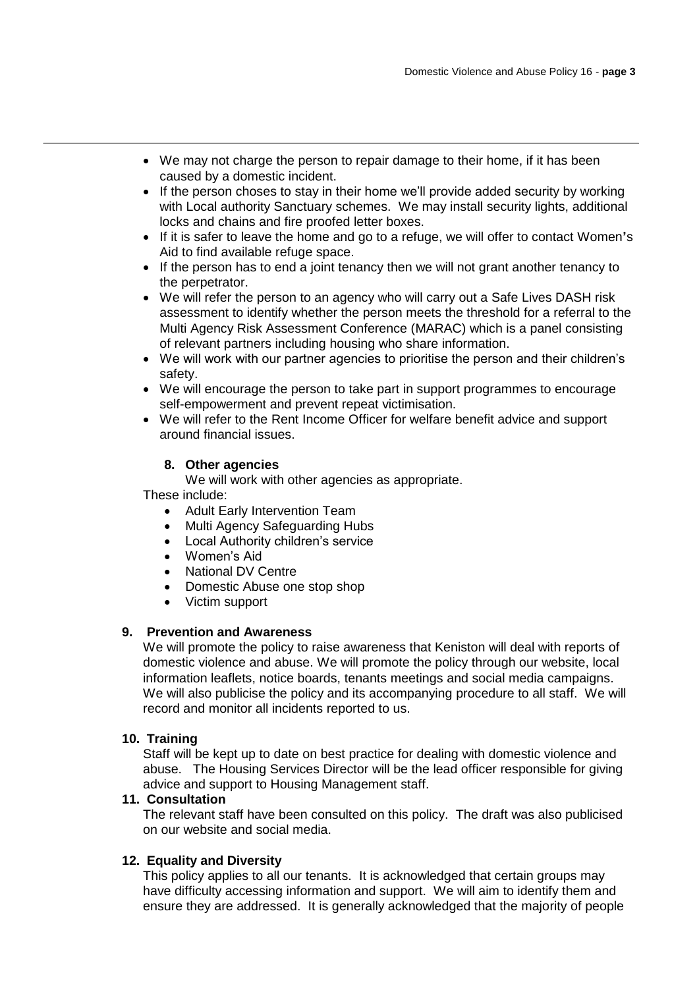- We may not charge the person to repair damage to their home, if it has been caused by a domestic incident.
- If the person choses to stay in their home we'll provide added security by working with Local authority Sanctuary schemes. We may install security lights, additional locks and chains and fire proofed letter boxes.
- If it is safer to leave the home and go to a refuge, we will offer to contact Women**'**s Aid to find available refuge space.
- If the person has to end a joint tenancy then we will not grant another tenancy to the perpetrator.
- We will refer the person to an agency who will carry out a Safe Lives DASH risk assessment to identify whether the person meets the threshold for a referral to the Multi Agency Risk Assessment Conference (MARAC) which is a panel consisting of relevant partners including housing who share information.
- We will work with our partner agencies to prioritise the person and their children's safety.
- We will encourage the person to take part in support programmes to encourage self-empowerment and prevent repeat victimisation.
- We will refer to the Rent Income Officer for welfare benefit advice and support around financial issues.

## **8. Other agencies**

We will work with other agencies as appropriate.

These include:

- Adult Early Intervention Team
- Multi Agency Safeguarding Hubs
- Local Authority children's service
- Women's Aid
- National DV Centre
- Domestic Abuse one stop shop
- Victim support

## **9. Prevention and Awareness**

We will promote the policy to raise awareness that Keniston will deal with reports of domestic violence and abuse. We will promote the policy through our website, local information leaflets, notice boards, tenants meetings and social media campaigns. We will also publicise the policy and its accompanying procedure to all staff. We will record and monitor all incidents reported to us.

## **10. Training**

Staff will be kept up to date on best practice for dealing with domestic violence and abuse. The Housing Services Director will be the lead officer responsible for giving advice and support to Housing Management staff.

#### **11. Consultation**

The relevant staff have been consulted on this policy. The draft was also publicised on our website and social media.

#### **12. Equality and Diversity**

This policy applies to all our tenants. It is acknowledged that certain groups may have difficulty accessing information and support. We will aim to identify them and ensure they are addressed. It is generally acknowledged that the majority of people